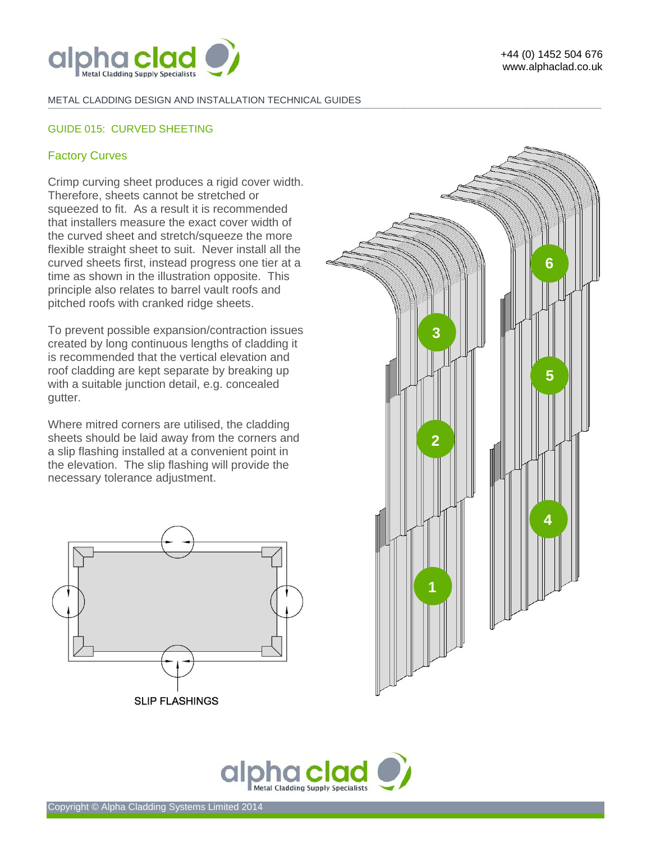

+44 (0) 1452 504 676 www.alphaclad.co.uk

#### METAL CLADDING DESIGN AND INSTALLATION TECHNICAL GUIDES **-------------------------------------------------------------------------------------------------------------------------------------------------------------------------------------------------------------------------------------------------------------------------------------------------------------------------------------------------------------------------------------------------------**

# GUIDE 015: CURVED SHEETING

## Factory Curves

Crimp curving sheet produces a rigid cover width. Therefore, sheets cannot be stretched or squeezed to fit. As a result it is recommended that installers measure the exact cover width of the curved sheet and stretch/squeeze the more flexible straight sheet to suit. Never install all the curved sheets first, instead progress one tier at a time as shown in the illustration opposite. This principle also relates to barrel vault roofs and pitched roofs with cranked ridge sheets.

To prevent possible expansion/contraction issues created by long continuous lengths of cladding it is recommended that the vertical elevation and roof cladding are kept separate by breaking up with a suitable junction detail, e.g. concealed gutter.

Where mitred corners are utilised, the cladding sheets should be laid away from the corners and a slip flashing installed at a convenient point in the elevation. The slip flashing will provide the necessary tolerance adjustment.